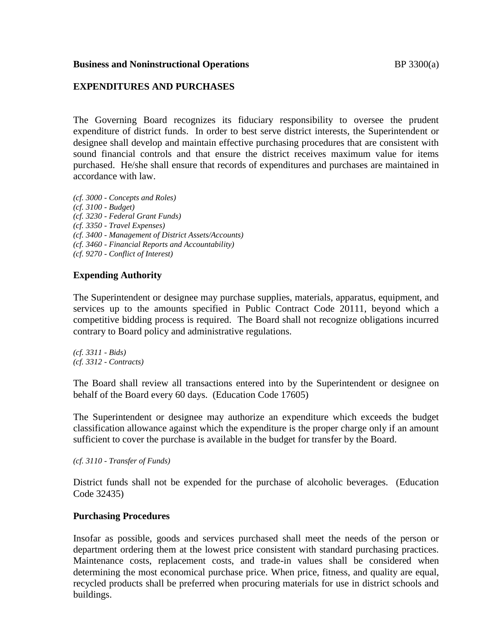### **Business and Noninstructional Operations BP** 3300(a)

# **EXPENDITURES AND PURCHASES**

The Governing Board recognizes its fiduciary responsibility to oversee the prudent expenditure of district funds. In order to best serve district interests, the Superintendent or designee shall develop and maintain effective purchasing procedures that are consistent with sound financial controls and that ensure the district receives maximum value for items purchased. He/she shall ensure that records of expenditures and purchases are maintained in accordance with law.

*(cf. 3000 - Concepts and Roles) (cf. 3100 - Budget) (cf. 3230 - Federal Grant Funds) (cf. 3350 - Travel Expenses) (cf. 3400 - Management of District Assets/Accounts) (cf. 3460 - Financial Reports and Accountability) (cf. 9270 - Conflict of Interest)*

## **Expending Authority**

The Superintendent or designee may purchase supplies, materials, apparatus, equipment, and services up to the amounts specified in Public Contract Code 20111, beyond which a competitive bidding process is required. The Board shall not recognize obligations incurred contrary to Board policy and administrative regulations.

*(cf. 3311 - Bids) (cf. 3312 - Contracts)*

The Board shall review all transactions entered into by the Superintendent or designee on behalf of the Board every 60 days. (Education Code 17605)

The Superintendent or designee may authorize an expenditure which exceeds the budget classification allowance against which the expenditure is the proper charge only if an amount sufficient to cover the purchase is available in the budget for transfer by the Board.

*(cf. 3110 - Transfer of Funds)*

District funds shall not be expended for the purchase of alcoholic beverages. (Education Code 32435)

### **Purchasing Procedures**

Insofar as possible, goods and services purchased shall meet the needs of the person or department ordering them at the lowest price consistent with standard purchasing practices. Maintenance costs, replacement costs, and trade-in values shall be considered when determining the most economical purchase price. When price, fitness, and quality are equal, recycled products shall be preferred when procuring materials for use in district schools and buildings.